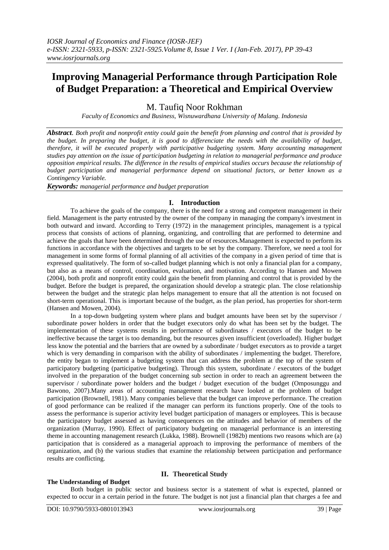# **Improving Managerial Performance through Participation Role of Budget Preparation: a Theoretical and Empirical Overview**

M. Taufiq Noor Rokhman

*Faculty of Economics and Business, Wisnuwardhana University of Malang. Indonesia*

*Abstract. Both profit and nonprofit entity could gain the benefit from planning and control that is provided by the budget. In preparing the budget, it is good to differenciate the needs with the availability of budget, therefore, it will be executed properly with participative budgeting system. Many accounting management studies pay attention on the issue of participation budgeting in relation to managerial performance and produce opposition empirical results. The difference in the results of empirical studies occurs because the relationship of budget participation and managerial performance depend on situational factors, or better known as a Contingency Variable.*

*Keywords: managerial performance and budget preparation*

### **I. Introduction**

To achieve the goals of the company, there is the need for a strong and competent management in their field. Management is the party entrusted by the owner of the company in managing the company's investment in both outward and inward. According to Terry (1972) in the management principles, management is a typical process that consists of actions of planning, organizing, and controlling that are performed to determine and achieve the goals that have been determined through the use of resources.Management is expected to perform its functions in accordance with the objectives and targets to be set by the company. Therefore, we need a tool for management in some forms of formal planning of all activities of the company in a given period of time that is expressed qualitatively. The form of so-called budget planning which is not only a financial plan for a company, but also as a means of control, coordination, evaluation, and motivation. According to Hansen and Mowen (2004), both profit and nonprofit entity could gain the benefit from planning and control that is provided by the budget. Before the budget is prepared, the organization should develop a strategic plan. The close relationship between the budget and the strategic plan helps management to ensure that all the attention is not focused on short-term operational. This is important because of the budget, as the plan period, has properties for short-term (Hansen and Mowen, 2004).

In a top-down budgeting system where plans and budget amounts have been set by the supervisor / subordinate power holders in order that the budget executors only do what has been set by the budget. The implementation of these systems results in performance of subordinates / executors of the budget to be ineffective because the target is too demanding, but the resources given insufficient (overloaded). Higher budget less know the potential and the barriers that are owned by a subordinate / budget executors as to provide a target which is very demanding in comparison with the ability of subordinates / implementing the budget. Therefore, the entity began to implement a budgeting system that can address the problem at the top of the system of participatory budgeting (participative budgeting). Through this system, subordinate / executors of the budget involved in the preparation of the budget concerning sub section in order to reach an agreement between the supervisor / subordinate power holders and the budget / budget execution of the budget (Omposunggu and Bawono, 2007).Many areas of accounting management research have looked at the problem of budget participation (Brownell, 1981). Many companies believe that the budget can improve performance. The creation of good performance can be realized if the manager can perform its functions properly. One of the tools to assess the performance is superior activity level budget participation of managers or employees. This is because the participatory budget assessed as having consequences on the attitudes and behavior of members of the organization (Murray, 1990). Effect of participatory budgeting on managerial performance is an interesting theme in accounting management research (Lukka, 1988). Brownell (1982b) mentions two reasons which are (a) participation that is considered as a managerial approach to improving the performance of members of the organization, and (b) the various studies that examine the relationship between participation and performance results are conflicting.

# **The Understanding of Budget**

# **II. Theoretical Study**

Both budget in public sector and business sector is a statement of what is expected, planned or expected to occur in a certain period in the future. The budget is not just a financial plan that charges a fee and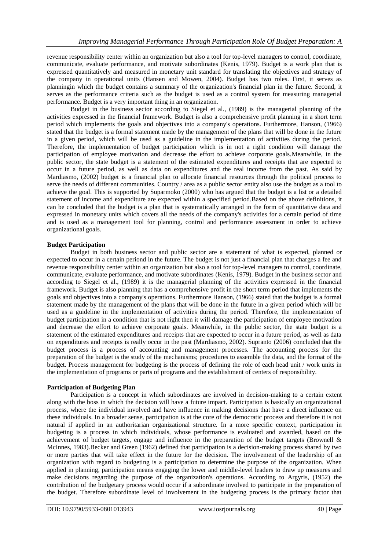revenue responsibility center within an organization but also a tool for top-level managers to control, coordinate, communicate, evaluate performance, and motivate subordinates (Kenis, 1979). Budget is a work plan that is expressed quantitatively and measured in monetary unit standard for translating the objectives and strategy of the company in operational units (Hansen and Mowen, 2004). Budget has two roles. First, it serves as planningin which the budget contains a summary of the organization's financial plan in the future. Second, it serves as the performance criteria such as the budget is used as a control system for measuring managerial performance. Budget is a very important thing in an organization.

Budget in the business sector according to Siegel et al., (1989) is the managerial planning of the activities expressed in the financial framework. Budget is also a comprehensive profit planning in a short term period which implements the goals and objectives into a company's operations. Furthermore, Hanson, (1966) stated that the budget is a formal statement made by the management of the plans that will be done in the future in a given period, which will be used as a guideline in the implementation of activities during the period. Therefore, the implementation of budget participation which is in not a right condition will damage the participation of employee motivation and decrease the effort to achieve corporate goals.Meanwhile, in the public sector, the state budget is a statement of the estimated expenditures and receipts that are expected to occur in a future period, as well as data on expenditures and the real income from the past. As said by Mardiasmo, (2002) budget is a financial plan to allocate financial resources through the political process to serve the needs of different communities. Country / area as a public sector entity also use the budget as a tool to achieve the goal. This is supported by Suparmoko (2000) who has argued that the budget is a list or a detailed statement of income and expenditure are expected within a specified period.Based on the above definitions, it can be concluded that the budget is a plan that is systematically arranged in the form of quantitative data and expressed in monetary units which covers all the needs of the company's activities for a certain period of time and is used as a management tool for planning, control and performance assessment in order to achieve organizational goals.

# **Budget Participation**

Budget in both business sector and public sector are a statement of what is expected, planned or expected to occur in a certain periond in the future. The budget is not just a financial plan that charges a fee and revenue responsibility center within an organization but also a tool for top-level managers to control, coordinate, communicate, evaluate performance, and motivate subordinates (Kenis, 1979). Budget in the business sector and according to Siegel et al., (1989) it is the managerial planning of the activities expressed in the financial framework. Budget is also planning that has a comprehensive profit in the short term period that implements the goals and objectives into a company's operations. Furthermore Hanson, (1966) stated that the budget is a formal statement made by the management of the plans that will be done in the future in a given period which will be used as a guideline in the implementation of activities during the period. Therefore, the implementation of budget participation in a condition that is not right then it will damage the participation of employee motivation and decrease the effort to achieve corporate goals. Meanwhile, in the public sector, the state budget is a statement of the estimated expenditures and receipts that are expected to occur in a future period, as well as data on expenditures and receipts is really occur in the past (Mardiasmo, 2002). Supranto (2006) concluded that the budget process is a process of accounting and management processes. The accounting process for the preparation of the budget is the study of the mechanisms; procedures to assemble the data, and the format of the budget. Process management for budgeting is the process of defining the role of each head unit / work units in the implementation of programs or parts of programs and the establishment of centers of responsibility.

# **Participation of Budgeting Plan**

Participation is a concept in which subordinates are involved in decision-making to a certain extent along with the boss in which the decision will have a future impact. Participation is basically an organizational process, where the individual involved and have influence in making decisions that have a direct influence on these individuals. In a broader sense, participation is at the core of the democratic process and therefore it is not natural if applied in an authoritarian organizational structure. In a more specific context, participation in budgeting is a process in which individuals, whose performance is evaluated and awarded, based on the achievement of budget targets, engage and influence in the preparation of the budget targets (Brownell & McInnes, 1983).Becker and Green (1962) defined that participation is a decision-making process shared by two or more parties that will take effect in the future for the decision. The involvement of the leadership of an organization with regard to budgeting is a participation to determine the purpose of the organization. When applied in planning, participation means engaging the lower and middle-level leaders to draw up measures and make decisions regarding the purpose of the organization's operations. According to Argyris, (1952) the contribution of the budgetary process would occur if a subordinate involved to participate in the preparation of the budget. Therefore subordinate level of involvement in the budgeting process is the primary factor that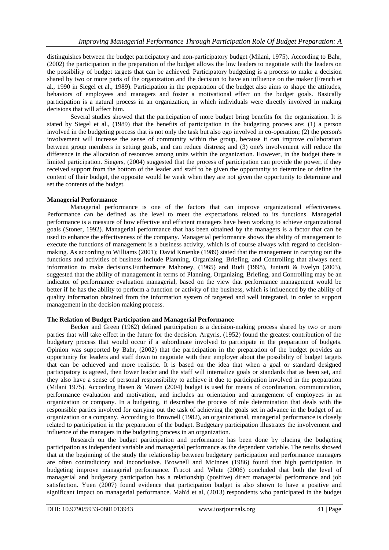distinguishes between the budget participatory and non-participatory budget (Milani, 1975). According to Bahr, (2002) the participation in the preparation of the budget allows the low leaders to negotiate with the leaders on the possibility of budget targets that can be achieved. Participatory budgeting is a process to make a decision shared by two or more parts of the organization and the decision to have an influence on the maker (French et al., 1990 in Siegel et al., 1989). Participation in the preparation of the budget also aims to shape the attitudes, behaviors of employees and managers and foster a motivational effect on the budget goals. Basically participation is a natural process in an organization, in which individuals were directly involved in making decisions that will affect him.

Several studies showed that the participation of more budget bring benefits for the organization. It is stated by Siegel et al., (1989) that the benefits of participation in the budgeting process are: (1) a person involved in the budgeting process that is not only the task but also ego involved in co-operation; (2) the person's involvement will increase the sense of community within the group, because it can improve collaboration between group members in setting goals, and can reduce distress; and (3) one's involvement will reduce the difference in the allocation of resources among units within the organization. However, in the budget there is limited participation. Siegers, (2004) suggested that the process of participation can provide the power, if they received support from the bottom of the leader and staff to be given the opportunity to determine or define the content of their budget, the opposite would be weak when they are not given the opportunity to determine and set the contents of the budget.

### **Managerial Performance**

Managerial performance is one of the factors that can improve organizational effectiveness. Performance can be defined as the level to meet the expectations related to its functions. Managerial performance is a measure of how effective and efficient managers have been working to achieve organizational goals (Stoner, 1992). Managerial performance that has been obtained by the managers is a factor that can be used to enhance the effectiveness of the company. Managerial performance shows the ability of management to execute the functions of management is a business activity, which is of course always with regard to decisionmaking. As according to Williams (2001); David Kroenke (1989) stated that the management in carrying out the functions and activities of business include Planning, Organizing, Briefing, and Controlling that always need information to make decisions.Furthermore Mahoney, (1965) and Rudi (1998), Juniarti & Evelyn (2003), suggested that the ability of management in terms of Planning, Organizing, Briefing, and Controlling may be an indicator of performance evaluation managerial, based on the view that performance management would be better if he has the ability to perform a function or activity of the business, which is influenced by the ability of quality information obtained from the information system of targeted and well integrated, in order to support management in the decision making process.

#### **The Relation of Budget Participation and Managerial Performance**

Becker and Green (1962) defined participation is a decision-making process shared by two or more parties that will take effect in the future for the decision. Argyris, (1952) found the greatest contribution of the budgetary process that would occur if a subordinate involved to participate in the preparation of budgets. Opinion was supported by Bahr, (2002) that the participation in the preparation of the budget provides an opportunity for leaders and staff down to negotiate with their employer about the possibility of budget targets that can be achieved and more realistic. It is based on the idea that when a goal or standard designed participatory is agreed, then lower leader and the staff will internalize goals or standards that as been set, and they also have a sense of personal responsibility to achieve it due to participation involved in the preparation (Milani 1975). According Hasen & Moven (2004) budget is used for means of coordination, communication, performance evaluation and motivation, and includes an orientation and arrangement of employees in an organization or company. In a budgeting, it describes the process of role determination that deals with the responsible parties involved for carrying out the task of achieving the goals set in advance in the budget of an organization or a company. According to Brownell (1982), an organizational, managerial performance is closely related to participation in the preparation of the budget. Budgetary participation illustrates the involvement and influence of the managers in the budgeting process in an organization.

Research on the budget participation and performance has been done by placing the budgeting participation as independent variable and managerial performance as the dependent variable. The results showed that at the beginning of the study the relationship between budgetary participation and performance managers are often contradictory and inconclusive. Brownell and McInnes (1986) found that high participation in budgeting improve managerial performance. Frucot and White (2006) concluded that both the level of managerial and budgetary participation has a relationship (positive) direct managerial performance and job satisfaction. Yuen (2007) found evidence that participation budget is also shown to have a positive and significant impact on managerial performance. Mah'd et al, (2013) respondents who participated in the budget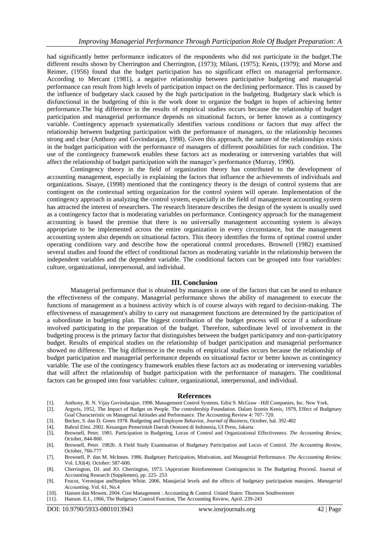had significantly better performance indicators of the respondents who did not participate in the budget.The different results shown by Cherrington and Cherrington, (1973); Milani, (1975); Kenis, (1979); and Morse and Reimer, (1956) found that the budget participation has no significant effect on managerial performance. According to Mercant (1981), a negative relationship between participative budgeting and managerial performance can result from high levels of participation impact on the declining performance. This is caused by the influence of budgetary slack caused by the high participation in the budgeting. Budgetary slack which is disfunctional in the budgeting of this is the work done to organize the budget in hopes of achieving better performance.The big difference in the results of empirical studies occurs because the relationship of budget participation and managerial performance depends on situational factors, or better known as a contingency variable. Contingency approach systematically identifies various conditions or factors that may affect the relationship between budgeting participation with the performance of managers, so the relationship becomes strong and clear (Anthony and Govindarajan, 1998). Given this approach, the nature of the relationships exists in the budget participation with the performance of managers of different possibilities for each condition. The use of the contingency framework enables these factors act as moderating or intervening variables that will affect the relationship of budget participation with the manager's performance (Murray, 1990).

Contingency theory in the field of organization theory has contributed to the development of accounting management, especially in explaining the factors that influence the achievements of individuals and organizations. Sisaye, (1998) mentioned that the contingency theory is the design of control systems that are contingent on the contextual setting organization for the control system will operate. Implementation of the contingency approach in analyzing the control system, especially in the field of management accounting system has attracted the interest of researchers. The research literature describes the design of the system is usually used as a contingency factor that is moderating variables on performance. Contingency approach for the management accounting is based the premise that there is no universally management accounting system is always appropriate to be implemented across the entire organization in every circumstance, but the management accounting system also depends on situational factors. This theory identifies the forms of optimal control under operating conditions vary and describe how the operational control procedures. Brownell (1982) examined several studies and found the effect of conditional factors as moderating variable in the relationship between the independent variables and the dependent variable. The conditional factors can be grouped into four variables: culture, organizational, interpersonal, and individual.

#### **III. Conclusion**

Managerial performance that is obtained by managers is one of the factors that can be used to enhance the effectiveness of the company. Managerial performance shows the ability of management to execute the functions of management as a business activity which is of course always with regard to decision-making. The effectiveness of management's ability to carry out management functions are determined by the participation of a subordinate in budgeting plan. The biggest contribution of the budget process will occur if a subordinate involved participating in the preparation of the budget. Therefore, subordinate level of involvement in the budgeting process is the primary factor that distinguishes between the budget participatory and non-participatory budget. Results of empirical studies on the relationship of budget participation and managerial performance showed no difference. The big difference in the results of empirical studies occurs because the relationship of budget participation and managerial performance depends on situational factor or better known as contingency variable. The use of the contingency framework enables these factors act as moderating or intervening variables that will affect the relationship of budget participation with the performance of managers. The conditional factors can be grouped into four variables: culture, organizational, interpersonal, and individual.

#### **References**

- [1]. Anthony, R. N. Vijay Govindarajan. 1998. Management Control Systems. Edisi 9. McGraw –Hill Companies, Inc. New York.
- [2]. Argyris, 1952, The Impact of Budget on People. The controlership Foundation. Dalam Izzetin Kenis, 1979, Effect of Budgetary Goal Characteristic on Managerial Attitudes and Performance. The Accounting Review 4: 707- 720.
- [3]. Becker, S. dan D. Green 1978. Budgeting and Employee Behavior, *Journal of Business*, October, hal. 392-402
- [4]. Bahrul Elmi. 2002. Keuangan Pemerintah Daerah Otonomi di Indonesia, UI Press, Jakarta
- [5]. Brownell, Peter. 1981. Participation in Budgeting, Locus of Control and Organizational Effectiveness. *The Accounting Review*, October, 844-860.
- [6]. Brownell, Peter. 1982b. A Field Study Examination of Budgetary Participation and Locus of Control. *The Accounting Review*, October, 766-777
- [7]. Brownell, P. dan M. McInnes. 1986. Budgetary Participation, Motivation, and Managerial Performance. *The Acccounting Review*. Vol. LXI(4). October: 587-600.
- [8]. Cherrington, DJ. and JO. Cherrington, 1973. ìApproriate Reinforeement Contingencies in The Budgeting Processî. Journal of Accounting Research (Supplemen), pp. 225- 253
- [9]. Frucot, Veronique andStephen White. 2006. Manajerial levels and the effects of budgetary participation manajers. *Managerial Accounting*, Vol. 61, No.4
- [10]. Hansen dan Mowen. 2004. Cost Management : Accounting & Control. United States: Thomson Southwestern
- [11]. Hanson. E.I., 1966, The Budgetary Control Function, The Accounting Review, April. 239-243